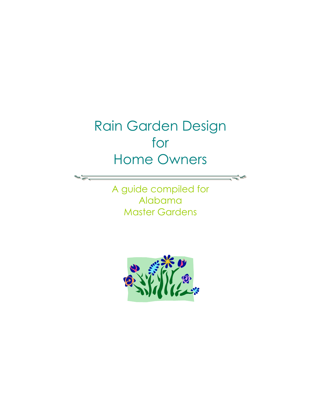## Rain Garden Design for Home Owners

A guide compiled for Alabama Master Gardens

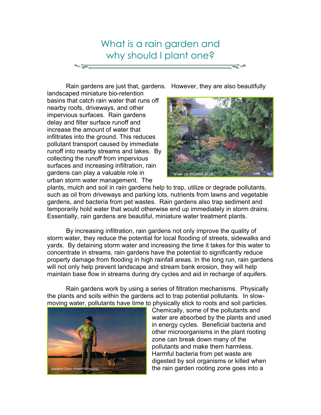

Rain gardens are just that, gardens. However, they are also beautifully

landscaped miniature bio-retention basins that catch rain water that runs off nearby roofs, driveways, and other impervious surfaces. Rain gardens delay and filter surface runoff and increase the amount of water that infiltrates into the ground. This reduces pollutant transport caused by immediate runoff into nearby streams and lakes. By collecting the runoff from impervious surfaces and increasing infiltration, rain gardens can play a valuable role in urban storm water management. The



plants, mulch and soil in rain gardens help to trap, utilize or degrade pollutants, such as oil from driveways and parking lots, nutrients from lawns and vegetable gardens, and bacteria from pet wastes. Rain gardens also trap sediment and temporarily hold water that would otherwise end up immediately in storm drains. Essentially, rain gardens are beautiful, miniature water treatment plants.

 By increasing infiltration, rain gardens not only improve the quality of storm water, they reduce the potential for local flooding of streets, sidewalks and yards. By detaining storm water and increasing the time it takes for this water to concentrate in streams, rain gardens have the potential to significantly reduce property damage from flooding in high rainfall areas. In the long run, rain gardens will not only help prevent landscape and stream bank erosion, they will help maintain base flow in streams during dry cycles and aid in recharge of aquifers.

Rain gardens work by using a series of filtration mechanisms. Physically the plants and soils within the gardens act to trap potential pollutants. In slowmoving water, pollutants have time to physically stick to roots and soil particles.



Chemically, some of the pollutants and water are absorbed by the plants and used in energy cycles. Beneficial bacteria and other microorganisms in the plant rooting zone can break down many of the pollutants and make them harmless. Harmful bacteria from pet waste are digested by soil organisms or killed when the rain garden rooting zone goes into a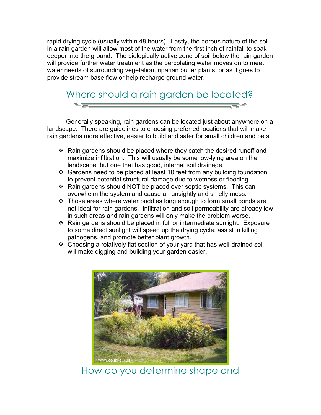rapid drying cycle (usually within 48 hours). Lastly, the porous nature of the soil in a rain garden will allow most of the water from the first inch of rainfall to soak deeper into the ground. The biologically active zone of soil below the rain garden will provide further water treatment as the percolating water moves on to meet water needs of surrounding vegetation, riparian buffer plants, or as it goes to provide stream base flow or help recharge ground water.



 Generally speaking, rain gardens can be located just about anywhere on a landscape. There are guidelines to choosing preferred locations that will make rain gardens more effective, easier to build and safer for small children and pets.

- $\div$  Rain gardens should be placed where they catch the desired runoff and maximize infiltration. This will usually be some low-lying area on the landscape, but one that has good, internal soil drainage.
- Gardens need to be placed at least 10 feet from any building foundation to prevent potential structural damage due to wetness or flooding.
- Rain gardens should NOT be placed over septic systems. This can overwhelm the system and cause an unsightly and smelly mess.
- Those areas where water puddles long enough to form small ponds are not ideal for rain gardens. Infiltration and soil permeability are already low in such areas and rain gardens will only make the problem worse.
- Rain gardens should be placed in full or intermediate sunlight. Exposure to some direct sunlight will speed up the drying cycle, assist in killing pathogens, and promote better plant growth.
- Choosing a relatively flat section of your yard that has well-drained soil will make digging and building your garden easier.



How do you determine shape and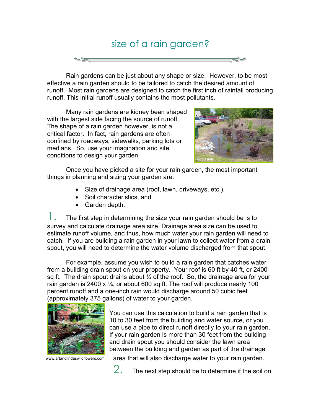# size of a rain garden?

 Rain gardens can be just about any shape or size. However, to be most effective a rain garden should to be tailored to catch the desired amount of runoff. Most rain gardens are designed to catch the first inch of rainfall producing runoff. This initial runoff usually contains the most pollutants.

 Many rain gardens are kidney bean shaped with the largest side facing the source of runoff. The shape of a rain garden however, is not a critical factor. In fact, rain gardens are often confined by roadways, sidewalks, parking lots or medians. So, use your imagination and site conditions to design your garden.



Once you have picked a site for your rain garden, the most important things in planning and sizing your garden are:

- Size of drainage area (roof, lawn, driveways, etc.),
- Soil characteristics, and
- Garden depth.

The first step in determining the size your rain garden should be is to survey and calculate drainage area size. Drainage area size can be used to estimate runoff volume, and thus, how much water your rain garden will need to catch. If you are building a rain garden in your lawn to collect water from a drain spout, you will need to determine the water volume discharged from that spout.

For example, assume you wish to build a rain garden that catches water from a building drain spout on your property. Your roof is 60 ft by 40 ft, or 2400 sq ft. The drain spout drains about  $\frac{1}{4}$  of the roof. So, the drainage area for your rain garden is 2400 x  $\frac{1}{4}$ , or about 600 sq ft. The roof will produce nearly 100 percent runoff and a one-inch rain would discharge around 50 cubic feet (approximately 375 gallons) of water to your garden.



You can use this calculation to build a rain garden that is 10 to 30 feet from the building and water source, or you can use a pipe to direct runoff directly to your rain garden. If your rain garden is more than 30 feet from the building and drain spout you should consider the lawn area between the building and garden as part of the drainage

www.artandlindaswildflowers.com

area that will also discharge water to your rain garden.



 $2.$  The next step should be to determine if the soil on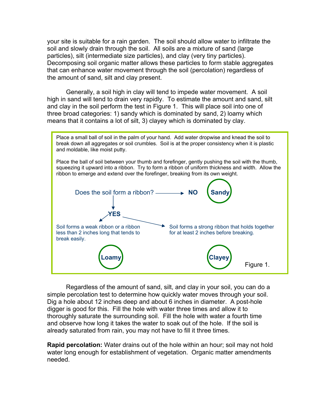your site is suitable for a rain garden. The soil should allow water to infiltrate the soil and slowly drain through the soil. All soils are a mixture of sand (large particles), silt (intermediate size particles), and clay (very tiny particles). Decomposing soil organic matter allows these particles to form stable aggregates that can enhance water movement through the soil (percolation) regardless of the amount of sand, silt and clay present.

 Generally, a soil high in clay will tend to impede water movement. A soil high in sand will tend to drain very rapidly. To estimate the amount and sand, silt and clay in the soil perform the test in Figure 1. This will place soil into one of three broad categories: 1) sandy which is dominated by sand, 2) loamy which means that it contains a lot of silt, 3) clayey which is dominated by clay.



Regardless of the amount of sand, silt, and clay in your soil, you can do a simple percolation test to determine how quickly water moves through your soil. Dig a hole about 12 inches deep and about 6 inches in diameter. A post-hole digger is good for this. Fill the hole with water three times and allow it to thoroughly saturate the surrounding soil. Fill the hole with water a fourth time and observe how long it takes the water to soak out of the hole. If the soil is already saturated from rain, you may not have to fill it three times.

**Rapid percolation:** Water drains out of the hole within an hour; soil may not hold water long enough for establishment of vegetation. Organic matter amendments needed.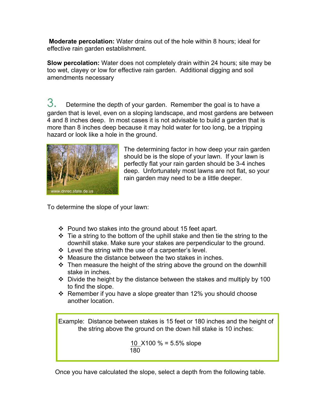**Moderate percolation:** Water drains out of the hole within 8 hours; ideal for effective rain garden establishment.

**Slow percolation:** Water does not completely drain within 24 hours; site may be too wet, clayey or low for effective rain garden. Additional digging and soil amendments necessary

 $3.$  Determine the depth of your garden. Remember the goal is to have a garden that is level, even on a sloping landscape, and most gardens are between 4 and 8 inches deep. In most cases it is not advisable to build a garden that is more than 8 inches deep because it may hold water for too long, be a tripping hazard or look like a hole in the ground.



The determining factor in how deep your rain garden should be is the slope of your lawn. If your lawn is perfectly flat your rain garden should be 3-4 inches deep. Unfortunately most lawns are not flat, so your rain garden may need to be a little deeper.

To determine the slope of your lawn:

- $\div$  Pound two stakes into the ground about 15 feet apart.
- $\div$  Tie a string to the bottom of the uphill stake and then tie the string to the downhill stake. Make sure your stakes are perpendicular to the ground.
- $\div$  Level the string with the use of a carpenter's level.
- $\div$  Measure the distance between the two stakes in inches.
- $\cdot$  Then measure the height of the string above the ground on the downhill stake in inches.
- $\cdot$  Divide the height by the distance between the stakes and multiply by 100 to find the slope.
- $\div$  Remember if you have a slope greater than 12% you should choose another location.

Example: Distance between stakes is 15 feet or 180 inches and the height of the string above the ground on the down hill stake is 10 inches:

> 10 X100 % = 5.5% slope 180

Once you have calculated the slope, select a depth from the following table.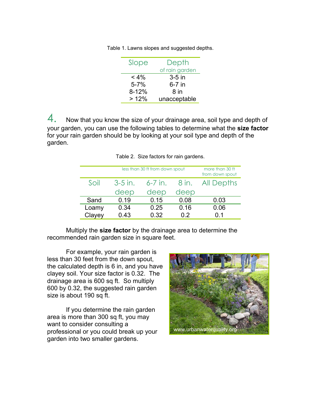| Slope     | Depth          |  |
|-----------|----------------|--|
|           | of rain garden |  |
| $< 4\%$   | $3-5$ in       |  |
| $5 - 7%$  | $6-7$ in       |  |
| $8 - 12%$ | 8 in           |  |
| >12%      | unacceptable   |  |

Table 1. Lawns slopes and suggested depths.

 $\overline{4}$ . Now that you know the size of your drainage area, soil type and depth of your garden, you can use the following tables to determine what the **size factor** for your rain garden should be by looking at your soil type and depth of the garden.

| less than 30 ft from down spout |           |           | more than 30 ft<br>from down spout |            |
|---------------------------------|-----------|-----------|------------------------------------|------------|
| Soil                            | $3-5$ in. | $6-7$ in. | 8 in.                              | All Depths |
|                                 | deep      | deep      | deep                               |            |
| Sand                            | 0.19      | 0.15      | 0.08                               | 0.03       |
| Loamy                           | 0.34      | 0.25      | 0.16                               | 0.06       |
| Clayey                          | 0.43      | 0.32      | 0.2                                | 0.1        |

Table 2. Size factors for rain gardens.

 Multiply the **size factor** by the drainage area to determine the recommended rain garden size in square feet.

For example, your rain garden is less than 30 feet from the down spout, the calculated depth is 6 in, and you have clayey soil. Your size factor is 0.32. The drainage area is 600 sq ft. So multiply 600 by 0.32, the suggested rain garden size is about 190 sq ft.

If you determine the rain garden area is more than 300 sq ft, you may want to consider consulting a professional or you could break up your garden into two smaller gardens.

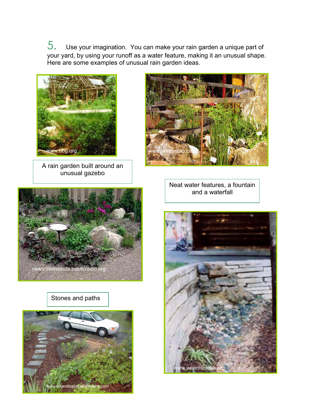5. Use your imagination. You can make your rain garden a unique part of your yard, by using your runoff as a water feature, making it an unusual shape. Here are some examples of unusual rain garden ideas.



A rain garden built around an unusual gazebo



Neat water features, a fountain and a waterfall



Stones and paths



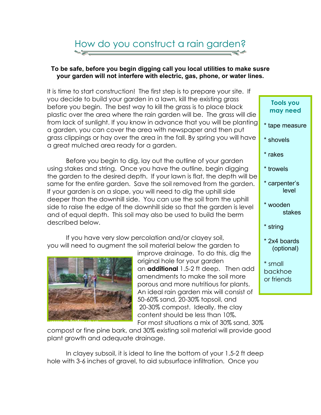## How do you construct a rain garden?

#### **To be safe, before you begin digging call you local utilities to make susre your garden will not interfere with electric, gas, phone, or water lines.**

It is time to start construction! The first step is to prepare your site. If you decide to build your garden in a lawn, kill the existing grass before you begin. The best way to kill the grass is to place black plastic over the area where the rain garden will be. The grass will die from lack of sunlight. If you know in advance that you will be planting a garden, you can cover the area with newspaper and then put grass clippings or hay over the area in the fall. By spring you will have a great mulched area ready for a garden.

Before you begin to dig, lay out the outline of your garden using stakes and string. Once you have the outline, begin digging the garden to the desired depth. If your lawn is flat, the depth will be same for the entire garden. Save the soil removed from the garden. If your garden is on a slope, you will need to dig the uphill side deeper than the downhill side. You can use the soil from the uphill side to raise the edge of the downhill side so that the garden is level and of equal depth. This soil may also be used to build the berm described below.

 If you have very slow percolation and/or clayey soil, you will need to augment the soil material below the garden to



improve drainage. To do this, dig the original hole for your garden an **additional** 1.5-2 ft deep. Then add amendments to make the soil more porous and more nutritious for plants. An ideal rain garden mix will consist of 50-60% sand, 20-30% topsoil, and 20-30% compost. Ideally, the clay content should be less than 10%.

For most situations a mix of 30% sand, 30%

compost or fine pine bark, and 30% existing soil material will provide good plant growth and adequate drainage.

 In clayey subsoil, it is ideal to line the bottom of your 1.5-2 ft deep hole with 3-6 inches of gravel, to aid subsurface infiltration. Once you

| <b>Tools you</b><br>may need     |
|----------------------------------|
| * tape measure                   |
| * shovels                        |
| * rakes                          |
| * trowels                        |
| * carpenter's<br>level           |
| * wooden<br>stakes               |
| * string                         |
| * 2x4 boards<br>(optional)       |
| * small<br>backhoe<br>or friends |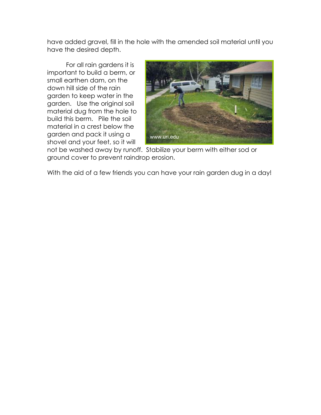have added gravel, fill in the hole with the amended soil material until you have the desired depth.

 For all rain gardens it is important to build a berm, or small earthen dam, on the down hill side of the rain garden to keep water in the garden. Use the original soil material dug from the hole to build this berm. Pile the soil material in a crest below the garden and pack it using a shovel and your feet, so it will



not be washed away by runoff. Stabilize your berm with either sod or ground cover to prevent raindrop erosion.

With the aid of a few friends you can have your rain garden dug in a day!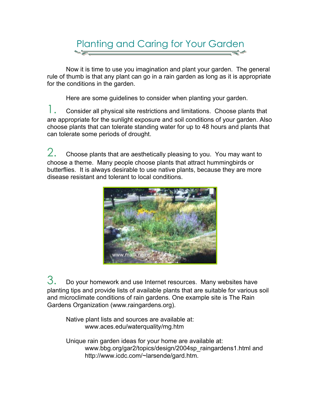## Planting and Caring for Your Garden

Now it is time to use you imagination and plant your garden. The general rule of thumb is that any plant can go in a rain garden as long as it is appropriate for the conditions in the garden.

Here are some guidelines to consider when planting your garden.

 $\mathcal{C}$ . Consider all physical site restrictions and limitations. Choose plants that are appropriate for the sunlight exposure and soil conditions of your garden. Also choose plants that can tolerate standing water for up to 48 hours and plants that can tolerate some periods of drought.

 $2.$  Choose plants that are aesthetically pleasing to you. You may want to choose a theme. Many people choose plants that attract hummingbirds or butterflies. It is always desirable to use native plants, because they are more disease resistant and tolerant to local conditions.



 $3.$  Do your homework and use Internet resources. Many websites have planting tips and provide lists of available plants that are suitable for various soil and microclimate conditions of rain gardens. One example site is The Rain Gardens Organization (www.raingardens.org).

Native plant lists and sources are available at: www.aces.edu/waterquality/mg.htm

 Unique rain garden ideas for your home are available at: www.bbg.org/gar2/topics/design/2004sp\_raingardens1.html and http://www.icdc.com/~larsende/gard.htm.